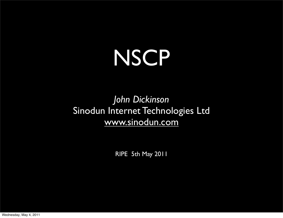# **NSCP**

#### *John Dickinson* Sinodun Internet Technologies Ltd [www.sinodun.com](http://www.sinodun.com)

RIPE 5th May 2011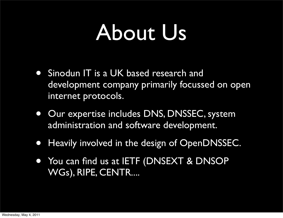### About Us

- Sinodun IT is a UK based research and development company primarily focussed on open internet protocols.
- Our expertise includes DNS, DNSSEC, system administration and software development.
- Heavily involved in the design of OpenDNSSEC.
- You can find us at IETF (DNSEXT & DNSOP WGs), RIPE, CENTR....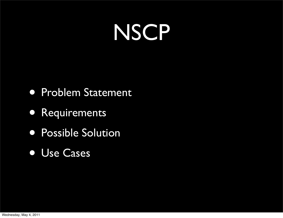## **NSCP**

- Problem Statement
- Requirements
- Possible Solution
- Use Cases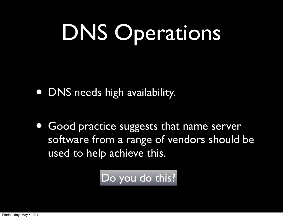# DNS Operations

- DNS needs high availability.
- Good practice suggests that name server software from a range of vendors should be used to help achieve this.

Do you do this?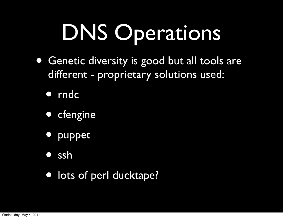# DNS Operations

- Genetic diversity is good but all tools are different - proprietary solutions used:
	- rndc
	- cfengine
	- puppet
	- ssh
	- lots of perl ducktape?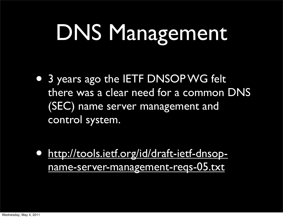# DNS Management

• 3 years ago the IETF DNSOP WG felt there was a clear need for a common DNS (SEC) name server management and control system.

• [http://tools.ietf.org/id/draft-ietf-dnsop](http://tools.ietf.org/id/draft-ietf-dnsop-name-server-management-reqs-05.txt)[name-server-management-reqs-05.txt](http://tools.ietf.org/id/draft-ietf-dnsop-name-server-management-reqs-05.txt)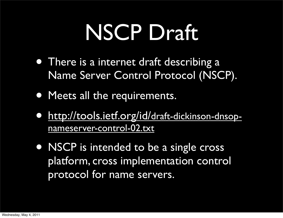## NSCP Draft

- There is a internet draft describing a Name Server Control Protocol (NSCP).
- Meets all the requirements.
- [http://tools.ietf.org/id/draft-dickinson-dnsop](http://tools.ietf.org/id/draft-dickinson-dnsop-nameserver-control-02.txt)[nameserver-control-02.txt](http://tools.ietf.org/id/draft-dickinson-dnsop-nameserver-control-02.txt)
- NSCP is intended to be a single cross platform, cross implementation control protocol for name servers.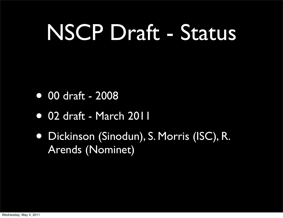## NSCP Draft - Status

- 00 draft 2008
- 02 draft March 2011
- Dickinson (Sinodun), S. Morris (ISC), R. Arends (Nominet)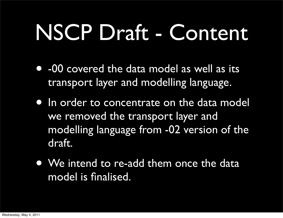## NSCP Draft - Content

- -00 covered the data model as well as its transport layer and modelling language.
- In order to concentrate on the data model we removed the transport layer and modelling language from -02 version of the draft.
- We intend to re-add them once the data model is finalised.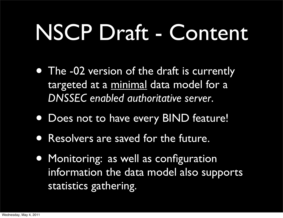# NSCP Draft - Content

- The -02 version of the draft is currently targeted at a minimal data model for a *DNSSEC enabled authoritative server*.
- Does not to have every BIND feature!
- Resolvers are saved for the future.
- Monitoring: as well as configuration information the data model also supports statistics gathering.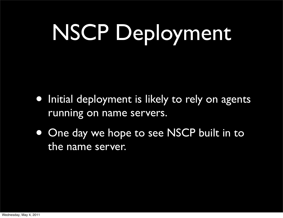# NSCP Deployment

- Initial deployment is likely to rely on agents running on name servers.
- One day we hope to see NSCP built in to the name server.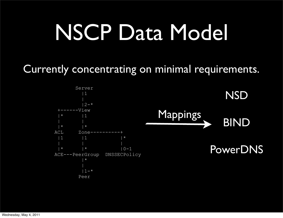## NSCP Data Model

Currently concentrating on minimal requirements.

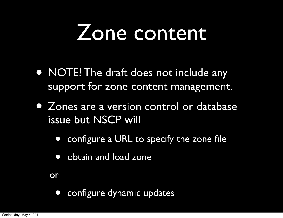### Zone content

- NOTE! The draft does not include any support for zone content management.
- Zones are a version control or database issue but NSCP will
	- configure a URL to specify the zone file
	- obtain and load zone

or

• configure dynamic updates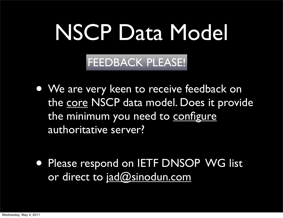## NSCP Data Model

FEEDBACK PLEASE!

- We are very keen to receive feedback on the core NSCP data model. Does it provide the minimum you need to configure authoritative server?
- **Please respond on IETF DNSOP WG list** or direct to [jad@sinodun.com](mailto:jad@sinodun.com)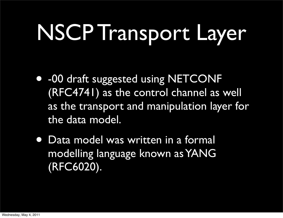# NSCP Transport Layer

- -00 draft suggested using NETCONF (RFC4741) as the control channel as well as the transport and manipulation layer for the data model.
- Data model was written in a formal modelling language known as YANG (RFC6020).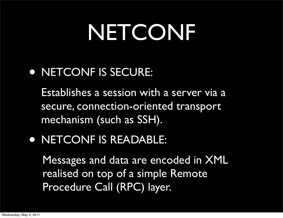## NETCONF

#### • NETCONF IS SECURE:

Establishes a session with a server via a secure, connection-oriented transport mechanism (such as SSH).

#### • NETCONF IS READABLE:

Messages and data are encoded in XML realised on top of a simple Remote Procedure Call (RPC) layer.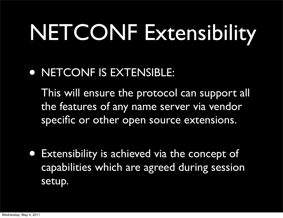# NETCONF Extensibility

• NETCONF IS EXTENSIBLE:

This will ensure the protocol can support all the features of any name server via vendor specific or other open source extensions.

• Extensibility is achieved via the concept of capabilities which are agreed during session setup.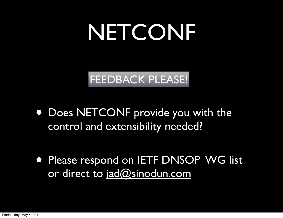## NETCONF

#### FEEDBACK PLEASE!

- Does NETCONF provide you with the control and extensibility needed?
- Please respond on IETF DNSOP WG list or direct to [jad@sinodun.com](mailto:jad@sinodun.com)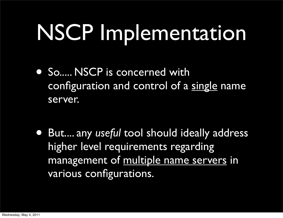# NSCP Implementation

- So..... NSCP is concerned with configuration and control of a single name server.
- But.... any *useful* tool should ideally address higher level requirements regarding management of multiple name servers in various configurations.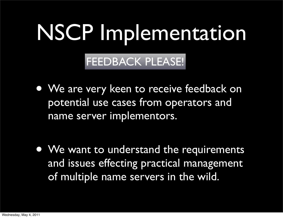# NSCP Implementation

#### FEEDBACK PLEASE!

• We are very keen to receive feedback on potential use cases from operators and name server implementors.

• We want to understand the requirements and issues effecting practical management of multiple name servers in the wild.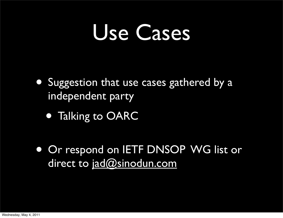- Suggestion that use cases gathered by a independent party
	- Talking to OARC
- Or respond on IETF DNSOP WG list or direct to [jad@sinodun.com](mailto:jad@sinodun.com)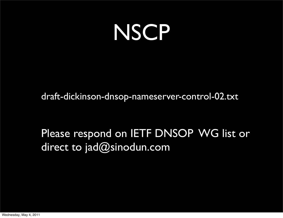## **NSCP**

draft-dickinson-dnsop-nameserver-control-02.txt

Please respond on IETF DNSOP WG list or direct to jad@sinodun.com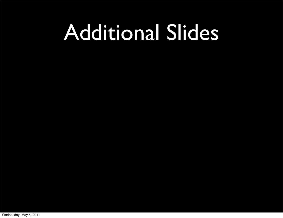#### Additional Slides

Wednesday, May 4, 2011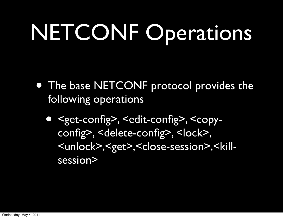# NETCONF Operations

- The base NETCONF protocol provides the following operations
	- <get-config>, <edit-config>, <copyconfig>, <delete-config>, <lock>, <unlock>,<get>,<close-session>,<killsession>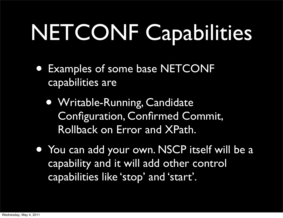# NETCONF Capabilities

- Examples of some base NETCONF capabilities are
	- Writable-Running, Candidate Configuration, Confirmed Commit, Rollback on Error and XPath.
- You can add your own. NSCP itself will be a capability and it will add other control capabilities like 'stop' and 'start'.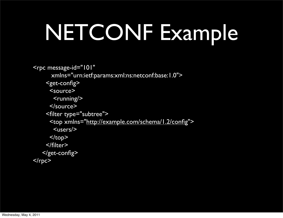## NETCONF Example

```
<rpc message-id="101"
       xmlns="urn:ietf:params:xml:ns:netconf:base:1.0">
     <get-config>
       <source>
       <running> </source>
     <filter type="subtree">
       <top xmlns="http://example.com/schema/1.2/config">
        <users/>
      </top>
     </filter>
    </get-config>
<rpc
```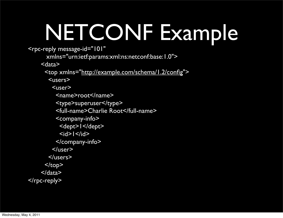# NETCONF Example

<rpc-reply message-id="101"

xmlns="urn:ietf:params:xml:ns:netconf:base:1.0">

<data>

<top xmlns=["http://example.com/schema/1.2/config"](http://example.com/schema/1.2/config)>

<users>

<user>

<name>root</name>

<type>superuser</type>

<full-name>Charlie Root</full-name>

<company-info>

<dept>1</dept>

 $\leq$  id  $\leq$   $\leq$  /id  $\geq$ 

</company-info>

</user>

</users>

 $<$ /top>

 $<$ /data $>$ 

</rpc-reply>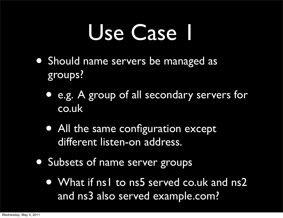- Should name servers be managed as groups?
	- e.g. A group of all secondary servers for co.uk
	- All the same configuration except different listen-on address.
- Subsets of name server groups
	- What if ns1 to ns5 served co.uk and ns2 and ns3 also served example.com?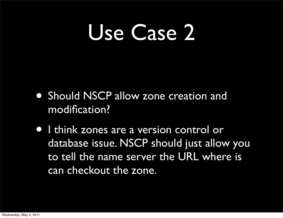- Should NSCP allow zone creation and modification?
- I think zones are a version control or database issue. NSCP should just allow you to tell the name server the URL where is can checkout the zone.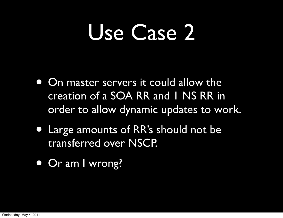- On master servers it could allow the creation of a SOA RR and 1 NS RR in order to allow dynamic updates to work.
- Large amounts of RR's should not be transferred over NSCP.
- Or am I wrong?